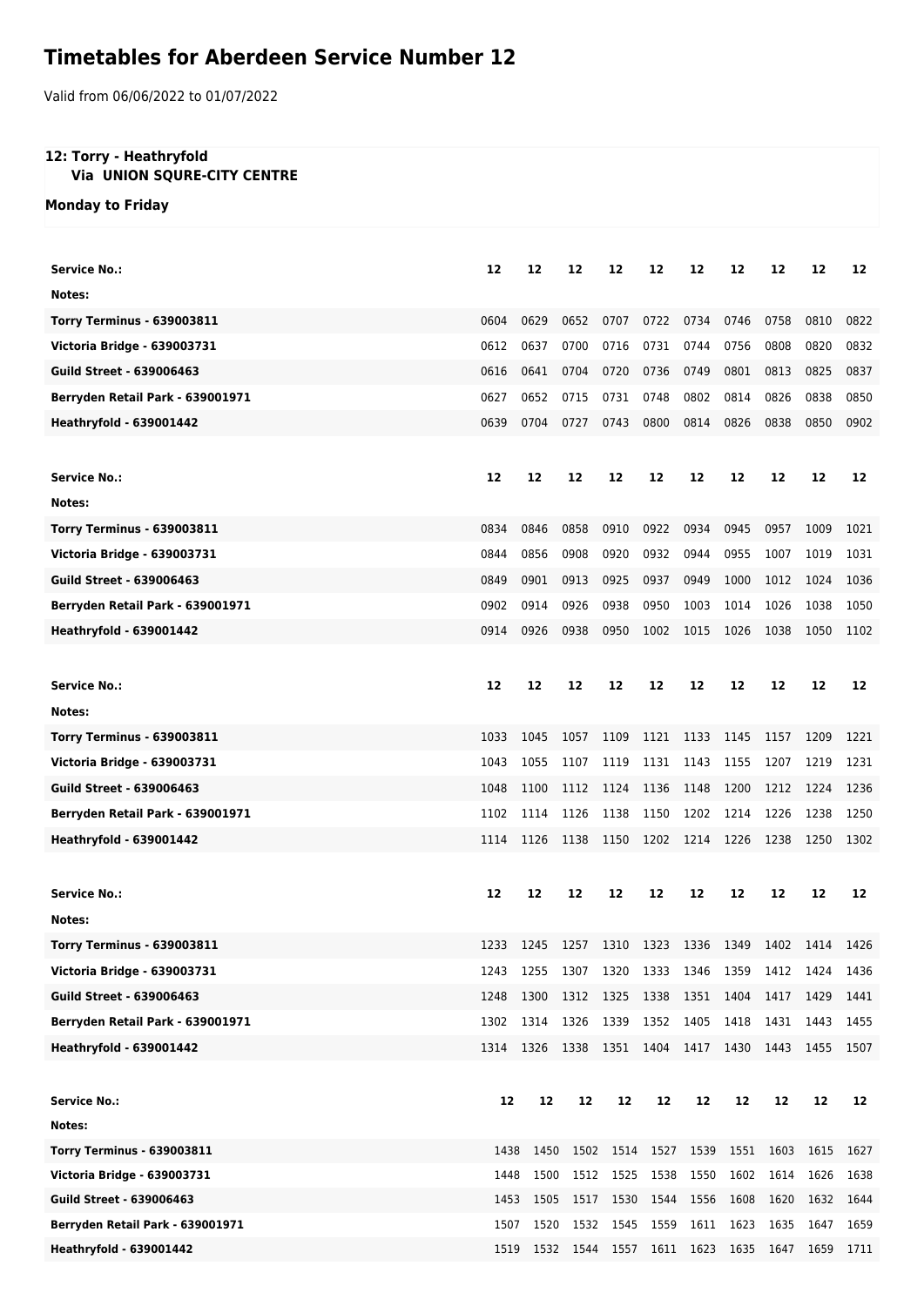## **Timetables for Aberdeen Service Number 12**

Valid from 06/06/2022 to 01/07/2022

## **12: Torry - Heathryfold**

## **Via UNION SQURE-CITY CENTRE**

**Monday to Friday**

| <b>Service No.:</b>               | 12   | 12   | 12   | 12                                                | 12        | 12                  | 12   | 12   | 12   | 12   |
|-----------------------------------|------|------|------|---------------------------------------------------|-----------|---------------------|------|------|------|------|
| Notes:                            |      |      |      |                                                   |           |                     |      |      |      |      |
| <b>Torry Terminus - 639003811</b> | 0604 | 0629 | 0652 | 0707                                              | 0722      | 0734                | 0746 | 0758 | 0810 | 0822 |
| Victoria Bridge - 639003731       | 0612 | 0637 | 0700 | 0716                                              | 0731      | 0744                | 0756 | 0808 | 0820 | 0832 |
| <b>Guild Street - 639006463</b>   | 0616 | 0641 | 0704 | 0720                                              | 0736      | 0749                | 0801 | 0813 | 0825 | 0837 |
| Berryden Retail Park - 639001971  | 0627 | 0652 | 0715 | 0731                                              | 0748      | 0802                | 0814 | 0826 | 0838 | 0850 |
| <b>Heathryfold - 639001442</b>    | 0639 | 0704 | 0727 | 0743                                              | 0800      | 0814                | 0826 | 0838 | 0850 | 0902 |
|                                   |      |      |      |                                                   |           |                     |      |      |      |      |
| <b>Service No.:</b>               | 12   | 12   | 12   | 12                                                | 12        | 12                  | 12   | 12   | 12   |      |
|                                   |      |      |      |                                                   |           |                     |      |      |      | 12   |
| Notes:                            |      |      |      |                                                   |           |                     |      |      |      |      |
| <b>Torry Terminus - 639003811</b> | 0834 | 0846 | 0858 | 0910                                              | 0922      | 0934                | 0945 | 0957 | 1009 | 1021 |
| Victoria Bridge - 639003731       | 0844 | 0856 | 0908 | 0920                                              | 0932      | 0944                | 0955 | 1007 | 1019 | 1031 |
| <b>Guild Street - 639006463</b>   | 0849 | 0901 | 0913 | 0925                                              | 0937      | 0949                | 1000 | 1012 | 1024 | 1036 |
| Berryden Retail Park - 639001971  | 0902 | 0914 | 0926 | 0938                                              | 0950      | 1003                | 1014 | 1026 | 1038 | 1050 |
| <b>Heathryfold - 639001442</b>    | 0914 | 0926 | 0938 | 0950                                              | 1002      | 1015                | 1026 | 1038 | 1050 | 1102 |
|                                   |      |      |      |                                                   |           |                     |      |      |      |      |
| <b>Service No.:</b>               | 12   | 12   | 12   | 12                                                | 12        | 12                  | 12   | 12   | 12   | 12   |
| Notes:                            |      |      |      |                                                   |           |                     |      |      |      |      |
| <b>Torry Terminus - 639003811</b> | 1033 | 1045 | 1057 | 1109                                              | 1121      | 1133                | 1145 | 1157 | 1209 | 1221 |
| Victoria Bridge - 639003731       | 1043 | 1055 | 1107 | 1119                                              | 1131      | 1143                | 1155 | 1207 | 1219 | 1231 |
| <b>Guild Street - 639006463</b>   | 1048 | 1100 | 1112 | 1124                                              | 1136      | 1148                | 1200 | 1212 | 1224 | 1236 |
| Berryden Retail Park - 639001971  | 1102 | 1114 | 1126 | 1138                                              | 1150      | 1202                | 1214 | 1226 | 1238 | 1250 |
| <b>Heathryfold - 639001442</b>    | 1114 | 1126 | 1138 | 1150                                              | 1202      | 1214                | 1226 | 1238 | 1250 | 1302 |
|                                   |      |      |      |                                                   |           |                     |      |      |      |      |
| <b>Service No.:</b>               | 12   | 12   | 12   | 12                                                | 12        | 12                  | 12   | 12   | 12   | 12   |
| Notes:                            |      |      |      |                                                   |           |                     |      |      |      |      |
| <b>Torry Terminus - 639003811</b> | 1233 | 1245 | 1257 | 1310                                              | 1323      | 1336                | 1349 | 1402 | 1414 | 1426 |
| Victoria Bridge - 639003731       | 1243 | 1255 | 1307 | 1320                                              | 1333      | 1346                | 1359 | 1412 | 1424 | 1436 |
| <b>Guild Street - 639006463</b>   | 1248 | 1300 | 1312 | 1325                                              | 1338      | 1351                | 1404 | 1417 | 1429 | 1441 |
| Berryden Retail Park - 639001971  | 1302 | 1314 | 1326 | 1339                                              | 1352 1405 |                     | 1418 | 1431 | 1443 | 1455 |
| <b>Heathryfold - 639001442</b>    | 1314 |      |      | 1326 1338 1351 1404 1417 1430 1443                |           |                     |      |      | 1455 | 1507 |
|                                   |      |      |      |                                                   |           |                     |      |      |      |      |
| <b>Service No.:</b>               | 12   | 12   | 12   | 12                                                | 12        | 12                  | 12   | 12   | 12   | 12   |
| Notes:                            |      |      |      |                                                   |           |                     |      |      |      |      |
| <b>Torry Terminus - 639003811</b> | 1438 | 1450 | 1502 |                                                   |           | 1514 1527 1539 1551 |      | 1603 | 1615 | 1627 |
| Victoria Bridge - 639003731       | 1448 | 1500 | 1512 | 1525                                              | 1538      | 1550                | 1602 | 1614 | 1626 | 1638 |
| <b>Guild Street - 639006463</b>   | 1453 | 1505 | 1517 | 1530                                              | 1544      | 1556                | 1608 | 1620 | 1632 | 1644 |
| Berryden Retail Park - 639001971  | 1507 |      |      | 1520 1532 1545 1559 1611 1623                     |           |                     |      | 1635 | 1647 | 1659 |
| <b>Heathryfold - 639001442</b>    |      |      |      | 1519 1532 1544 1557 1611 1623 1635 1647 1659 1711 |           |                     |      |      |      |      |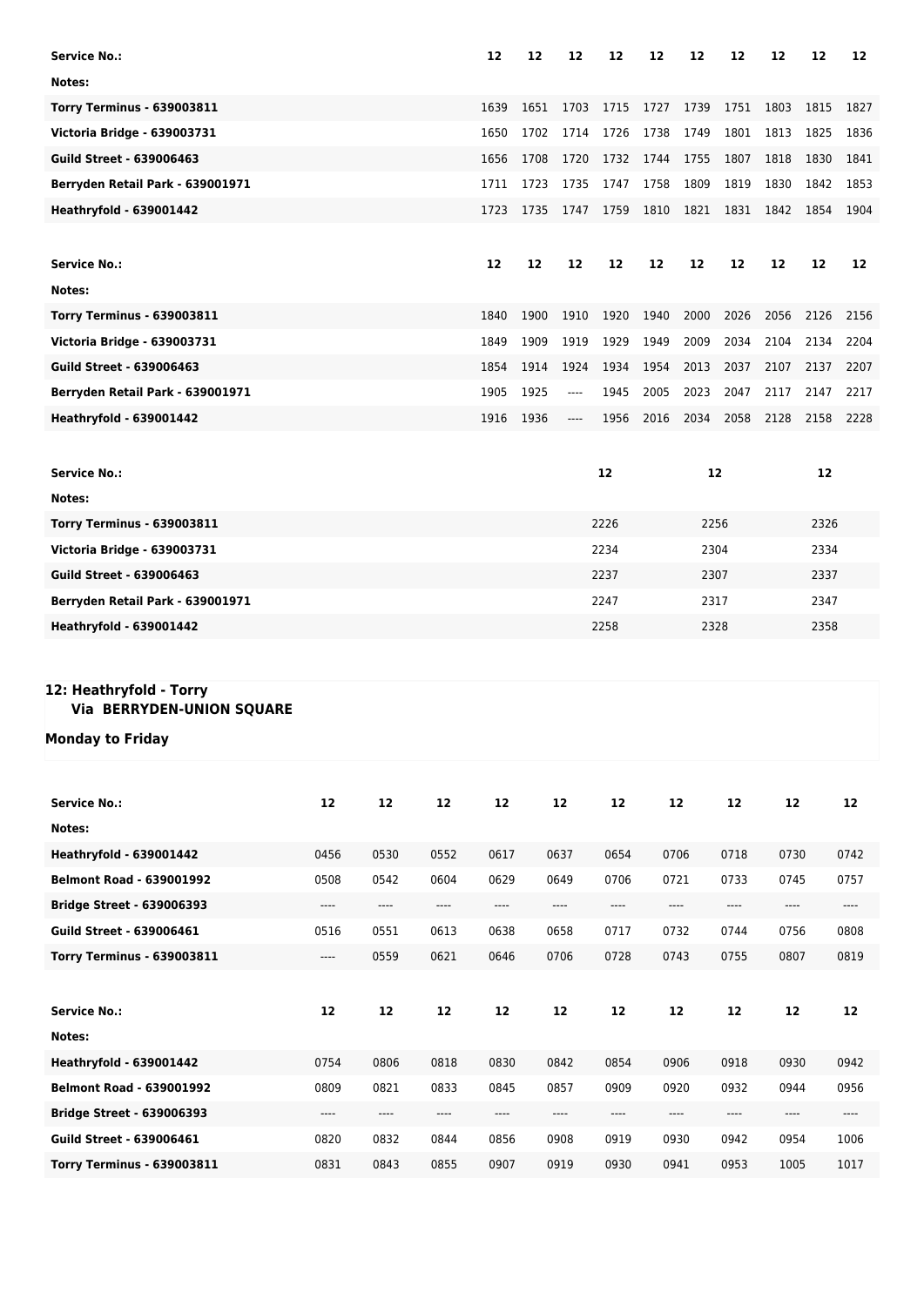| <b>Service No.:</b>               |                       |                          |                         | 12                                       | 12   | 12                            | 12                                       | 12   | 12                       | 12                            | 12         | 12   | 12                                                          |
|-----------------------------------|-----------------------|--------------------------|-------------------------|------------------------------------------|------|-------------------------------|------------------------------------------|------|--------------------------|-------------------------------|------------|------|-------------------------------------------------------------|
| Notes:                            |                       |                          |                         |                                          |      |                               |                                          |      |                          |                               |            |      |                                                             |
| <b>Torry Terminus - 639003811</b> |                       |                          |                         | 1639                                     | 1651 | 1703                          | 1715                                     | 1727 | 1739                     | 1751                          | 1803       | 1815 | 1827                                                        |
| Victoria Bridge - 639003731       |                       |                          |                         | 1650                                     | 1702 | 1714                          | 1726                                     | 1738 | 1749                     | 1801                          | 1813       | 1825 | 1836                                                        |
| <b>Guild Street - 639006463</b>   |                       |                          |                         | 1656                                     | 1708 | 1720                          | 1732                                     | 1744 | 1755                     | 1807                          | 1818       | 1830 | 1841                                                        |
| Berryden Retail Park - 639001971  |                       |                          |                         | 1711                                     | 1723 | 1735                          | 1747                                     | 1758 | 1809                     | 1819                          | 1830       | 1842 | 1853                                                        |
| <b>Heathryfold - 639001442</b>    |                       |                          |                         | 1723                                     | 1735 | 1747                          | 1759                                     | 1810 | 1821                     | 1831                          | 1842       | 1854 | 1904                                                        |
|                                   |                       |                          |                         |                                          |      |                               |                                          |      |                          |                               |            |      |                                                             |
| <b>Service No.:</b>               |                       |                          |                         | 12                                       | 12   | 12                            | 12                                       | 12   | 12                       | 12                            | 12         | 12   | 12                                                          |
| Notes:                            |                       |                          |                         |                                          |      |                               |                                          |      |                          |                               |            |      |                                                             |
| <b>Torry Terminus - 639003811</b> |                       |                          |                         | 1840                                     | 1900 | 1910                          | 1920                                     | 1940 | 2000                     | 2026                          | 2056       | 2126 | 2156                                                        |
| Victoria Bridge - 639003731       |                       |                          |                         | 1849                                     | 1909 | 1919                          | 1929                                     | 1949 | 2009                     | 2034                          | 2104       | 2134 | 2204                                                        |
| <b>Guild Street - 639006463</b>   |                       |                          |                         | 1854                                     | 1914 | 1924                          | 1934                                     | 1954 | 2013                     | 2037                          | 2107       | 2137 | 2207                                                        |
| Berryden Retail Park - 639001971  |                       |                          |                         | 1905                                     | 1925 | ----                          | 1945                                     | 2005 | 2023                     | 2047                          | 2117       | 2147 | 2217                                                        |
| <b>Heathryfold - 639001442</b>    |                       |                          |                         | 1916                                     | 1936 | ----                          | 1956                                     | 2016 | 2034                     | 2058                          | 2128       | 2158 | 2228                                                        |
|                                   |                       |                          |                         |                                          |      |                               |                                          |      |                          |                               |            |      |                                                             |
| <b>Service No.:</b>               |                       |                          |                         |                                          |      |                               | 12                                       |      | 12                       |                               |            | 12   |                                                             |
| Notes:                            |                       |                          |                         |                                          |      |                               |                                          |      |                          |                               |            |      |                                                             |
| <b>Torry Terminus - 639003811</b> |                       |                          |                         |                                          |      |                               | 2226                                     |      | 2256                     |                               |            | 2326 |                                                             |
| Victoria Bridge - 639003731       |                       |                          |                         |                                          |      |                               | 2234                                     |      | 2304                     |                               |            | 2334 |                                                             |
| <b>Guild Street - 639006463</b>   |                       |                          |                         |                                          |      |                               | 2237                                     | 2307 |                          |                               | 2337       |      |                                                             |
| Berryden Retail Park - 639001971  |                       |                          |                         |                                          |      |                               | 2247                                     |      | 2317                     |                               |            | 2347 |                                                             |
| <b>Heathryfold - 639001442</b>    |                       |                          |                         |                                          |      |                               | 2258                                     |      | 2328                     |                               |            | 2358 |                                                             |
|                                   |                       |                          |                         |                                          |      |                               |                                          |      |                          |                               |            |      |                                                             |
| 12: Heathryfold - Torry           |                       |                          |                         |                                          |      |                               |                                          |      |                          |                               |            |      |                                                             |
| Via BERRYDEN-UNION SQUARE         |                       |                          |                         |                                          |      |                               |                                          |      |                          |                               |            |      |                                                             |
| Monday to Friday                  |                       |                          |                         |                                          |      |                               |                                          |      |                          |                               |            |      |                                                             |
|                                   |                       |                          |                         |                                          |      |                               |                                          |      |                          |                               |            |      |                                                             |
|                                   |                       |                          |                         |                                          |      |                               |                                          |      |                          |                               |            |      |                                                             |
| <b>Service No.:</b>               | 12                    | 12                       | 12                      | 12                                       |      | 12                            | 12                                       |      | 12                       | 12                            | 12         |      | 12                                                          |
| Notes:                            |                       |                          |                         |                                          |      |                               |                                          |      |                          |                               |            |      |                                                             |
| <b>Heathryfold - 639001442</b>    | 0456                  | 0530                     | 0552                    | 0617                                     |      | 0637                          | 0654                                     |      | 0706                     | 0718                          | 0730       |      | 0742                                                        |
| <b>Belmont Road - 639001992</b>   | 0508                  | 0542                     | 0604                    | 0629                                     |      | 0649                          | 0706                                     |      | 0721                     | 0733                          | 0745       |      | 0757                                                        |
| <b>Bridge Street - 639006393</b>  | $\qquad \qquad - - -$ | ----                     | $\qquad \qquad - - - -$ | ----                                     |      | $\hspace{1.5cm} \textbf{---}$ | ----                                     |      | ----                     | $\hspace{1.5cm} \textbf{---}$ | $\cdots$   |      | $\hspace{0.05cm}\ldots\hspace{0.05cm}\ldots\hspace{0.05cm}$ |
| <b>Guild Street - 639006461</b>   | 0516                  | 0551                     | 0613                    | 0638                                     |      | 0658                          | 0717                                     |      | 0732                     | 0744                          | 0756       |      | 0808                                                        |
| <b>Torry Terminus - 639003811</b> | $\qquad \qquad - - -$ | 0559                     | 0621                    | 0646                                     |      | 0706                          | 0728                                     |      | 0743                     | 0755                          | 0807       |      | 0819                                                        |
|                                   |                       |                          |                         |                                          |      |                               |                                          |      |                          |                               |            |      |                                                             |
| <b>Service No.:</b>               | 12                    | 12                       | ${\bf 12}$              | 12                                       |      | 12                            | 12                                       |      | 12                       | 12                            | ${\bf 12}$ |      | 12                                                          |
| Notes:                            |                       |                          |                         |                                          |      |                               |                                          |      |                          |                               |            |      |                                                             |
| <b>Heathryfold - 639001442</b>    | 0754                  | 0806                     | 0818                    | 0830                                     |      | 0842                          | 0854                                     |      | 0906                     | 0918                          | 0930       |      | 0942                                                        |
| <b>Belmont Road - 639001992</b>   | 0809                  | 0821                     | 0833                    | 0845                                     |      | 0857                          | 0909                                     |      | 0920                     | 0932                          | 0944       |      | 0956                                                        |
| <b>Bridge Street - 639006393</b>  | ----                  | $\overline{\phantom{a}}$ | ----                    | $\hspace{0.05cm} \ldots \hspace{0.05cm}$ |      | ----                          | $\hspace{0.05cm} \ldots \hspace{0.05cm}$ |      | $\overline{\phantom{a}}$ | ----                          | ----       |      | $\cdots$                                                    |
| <b>Guild Street - 639006461</b>   | 0820                  | 0832                     | 0844                    | 0856                                     |      | 0908                          | 0919                                     |      | 0930                     | 0942                          | 0954       |      | 1006                                                        |
| <b>Torry Terminus - 639003811</b> | 0831                  | 0843                     | 0855                    | 0907                                     |      | 0919                          | 0930                                     |      | 0941                     | 0953                          | 1005       |      | 1017                                                        |